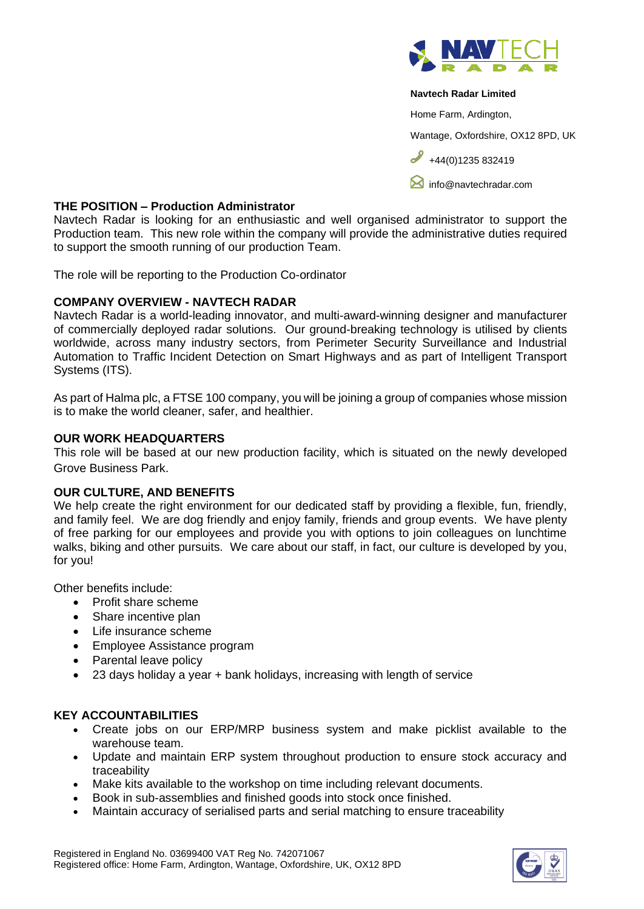

### **Navtech Radar Limited**

Home Farm, Ardington,

Wantage, Oxfordshire, OX12 8PD, UK

 $+44(0)1235832419$ 

**M** [info@navtechradar.com](mailto:info@navtechradar.com)

## **THE POSITION – Production Administrator**

Navtech Radar is looking for an enthusiastic and well organised administrator to support the Production team. This new role within the company will provide the administrative duties required to support the smooth running of our production Team.

The role will be reporting to the Production Co-ordinator

## **COMPANY OVERVIEW - NAVTECH RADAR**

Navtech Radar is a world-leading innovator, and multi-award-winning designer and manufacturer of commercially deployed radar solutions. Our ground-breaking technology is utilised by clients worldwide, across many industry sectors, from Perimeter Security Surveillance and Industrial Automation to Traffic Incident Detection on Smart Highways and as part of Intelligent Transport Systems (ITS).

As part of Halma plc, a FTSE 100 company, you will be joining a group of companies whose mission is to make the world cleaner, safer, and healthier.

## **OUR WORK HEADQUARTERS**

This role will be based at our new production facility, which is situated on the newly developed Grove Business Park.

### **OUR CULTURE, AND BENEFITS**

We help create the right environment for our dedicated staff by providing a flexible, fun, friendly, and family feel. We are dog friendly and enjoy family, friends and group events. We have plenty of free parking for our employees and provide you with options to join colleagues on lunchtime walks, biking and other pursuits. We care about our staff, in fact, our culture is developed by you, for you!

Other benefits include:

- Profit share scheme
- Share incentive plan
- Life insurance scheme
- Employee Assistance program
- Parental leave policy
- 23 days holiday a year + bank holidays, increasing with length of service

# **KEY ACCOUNTABILITIES**

- Create jobs on our ERP/MRP business system and make picklist available to the warehouse team.
- Update and maintain ERP system throughout production to ensure stock accuracy and traceability
- Make kits available to the workshop on time including relevant documents.
- Book in sub-assemblies and finished goods into stock once finished.
- Maintain accuracy of serialised parts and serial matching to ensure traceability